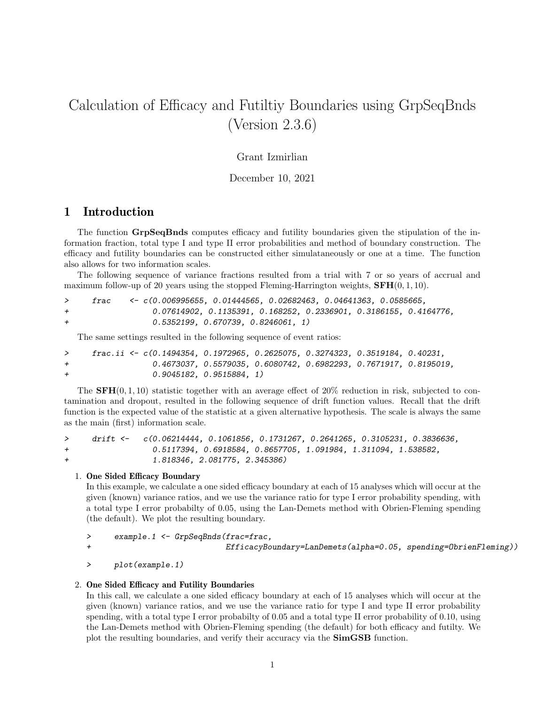# Calculation of Efficacy and Futiltiy Boundaries using GrpSeqBnds (Version 2.3.6)

### Grant Izmirlian

December 10, 2021

## 1 Introduction

The function GrpSeqBnds computes efficacy and futility boundaries given the stipulation of the information fraction, total type I and type II error probabilities and method of boundary construction. The efficacy and futility boundaries can be constructed either simulataneously or one at a time. The function also allows for two information scales.

The following sequence of variance fractions resulted from a trial with 7 or so years of accrual and maximum follow-up of 20 years using the stopped Fleming-Harrington weights,  $\mathbf{SFH}(0, 1, 10)$ .

|                | frac. | <- c(0.006995655, 0.01444565, 0.02682463, 0.04641363, 0.0585665,    |
|----------------|-------|---------------------------------------------------------------------|
| $\overline{+}$ |       | $0.07614902, 0.1135391, 0.168252, 0.2336901, 0.3186155, 0.4164776.$ |
| $\overline{+}$ |       | 0.5352199, 0.670739, 0.8246061, 1)                                  |

The same settings resulted in the following sequence of event ratios:

|     | frac.ii <- $c(0.1494354, 0.1972965, 0.2625075, 0.3274323, 0.3519184, 0.40231,$ |                                                                     |  |  |
|-----|--------------------------------------------------------------------------------|---------------------------------------------------------------------|--|--|
| $+$ |                                                                                | $0.4673037, 0.5579035, 0.6080742, 0.6982293, 0.7671917, 0.8195019,$ |  |  |
| $+$ | 0.9045182, 0.9515884, 1)                                                       |                                                                     |  |  |

The  $SFH(0, 1, 10)$  statistic together with an average effect of  $20\%$  reduction in risk, subjected to contamination and dropout, resulted in the following sequence of drift function values. Recall that the drift function is the expected value of the statistic at a given alternative hypothesis. The scale is always the same as the main (first) information scale.

> drift <- c(0.06214444, 0.1061856, 0.1731267, 0.2641265, 0.3105231, 0.3836636, + 0.5117394, 0.6918584, 0.8657705, 1.091984, 1.311094, 1.538582, + 1.818346, 2.081775, 2.345386)

#### 1. One Sided Efficacy Boundary

In this example, we calculate a one sided efficacy boundary at each of 15 analyses which will occur at the given (known) variance ratios, and we use the variance ratio for type I error probability spending, with a total type I error probabilty of 0.05, using the Lan-Demets method with Obrien-Fleming spending (the default). We plot the resulting boundary.

```
> example.1 <- GrpSeqBnds(frac=frac,
+ EfficacyBoundary=LanDemets(alpha=0.05, spending=ObrienFleming))
```

```
> plot(example.1)
```
#### 2. One Sided Efficacy and Futility Boundaries

In this call, we calculate a one sided efficacy boundary at each of 15 analyses which will occur at the given (known) variance ratios, and we use the variance ratio for type I and type II error probability spending, with a total type I error probabilty of 0.05 and a total type II error probability of 0.10, using the Lan-Demets method with Obrien-Fleming spending (the default) for both efficacy and futilty. We plot the resulting boundaries, and verify their accuracy via the SimGSB function.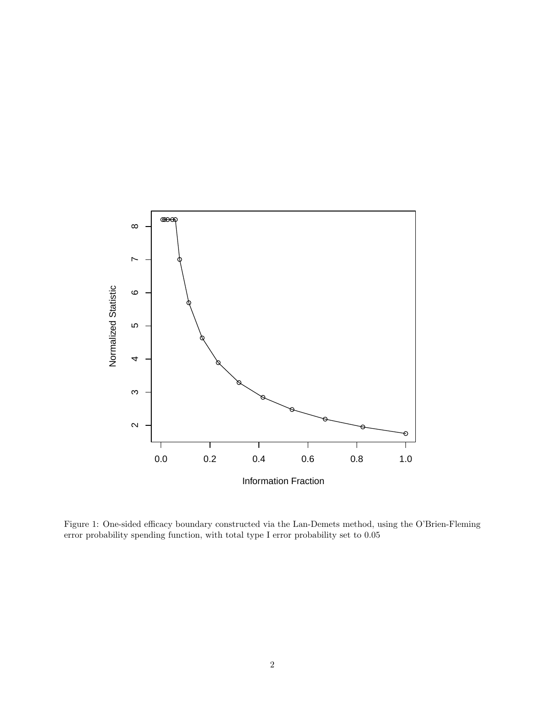

Figure 1: One-sided efficacy boundary constructed via the Lan-Demets method, using the O'Brien-Fleming error probability spending function, with total type I error probability set to 0.05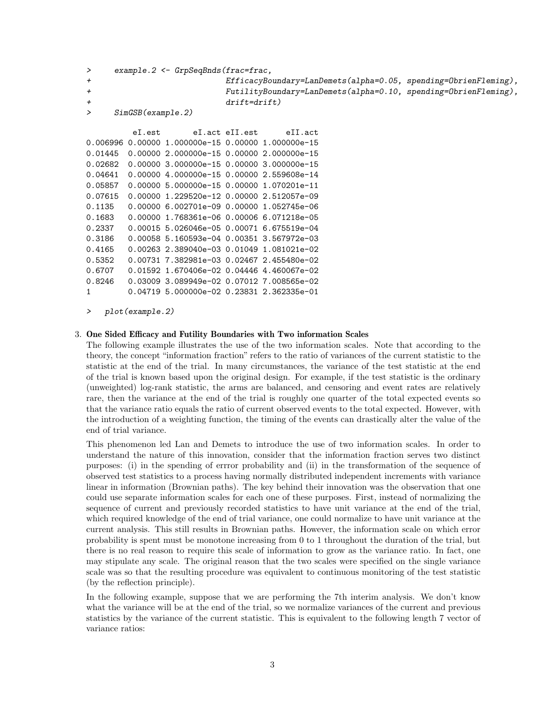```
> example.2 <- GrpSeqBnds(frac=frac,
+ EfficacyBoundary=LanDemets(alpha=0.05, spending=ObrienFleming),
+ FutilityBoundary=LanDemets(alpha=0.10, spending=ObrienFleming),
+ drift=drift)
> SimGSB(example.2)
        eI.est eI.act eII.est eII.act
0.006996 0.00000 1.000000e-15 0.00000 1.000000e-15
0.01445  0.00000  2.000000e-15  0.00000  2.000000e-15
0.02682 0.00000 3.000000e-15 0.00000 3.000000e-15
0.04641 0.00000 4.000000e-15 0.00000 2.559608e-14
0.05857 0.00000 5.000000e-15 0.00000 1.070201e-11
0.07615 0.00000 1.229520e-12 0.00000 2.512057e-09
0.1135  0.00000  6.002701e-09  0.00000  1.052745e-06
0.1683 0.00000 1.768361e-06 0.00006 6.071218e-05
0.2337 0.00015 5.026046e-05 0.00071 6.675519e-04
```
0.3186 0.00058 5.160593e-04 0.00351 3.567972e-03 0.4165 0.00263 2.389040e-03 0.01049 1.081021e-02 0.5352 0.00731 7.382981e-03 0.02467 2.455480e-02 0.6707 0.01592 1.670406e-02 0.04446 4.460067e-02 0.8246 0.03009 3.089949e-02 0.07012 7.008565e-02 1 0.04719 5.000000e-02 0.23831 2.362335e-01

> plot(example.2)

#### 3. One Sided Efficacy and Futility Boundaries with Two information Scales

The following example illustrates the use of the two information scales. Note that according to the theory, the concept "information fraction" refers to the ratio of variances of the current statistic to the statistic at the end of the trial. In many circumstances, the variance of the test statistic at the end of the trial is known based upon the original design. For example, if the test statistic is the ordinary (unweighted) log-rank statistic, the arms are balanced, and censoring and event rates are relatively rare, then the variance at the end of the trial is roughly one quarter of the total expected events so that the variance ratio equals the ratio of current observed events to the total expected. However, with the introduction of a weighting function, the timing of the events can drastically alter the value of the end of trial variance.

This phenomenon led Lan and Demets to introduce the use of two information scales. In order to understand the nature of this innovation, consider that the information fraction serves two distinct purposes: (i) in the spending of errror probability and (ii) in the transformation of the sequence of observed test statistics to a process having normally distributed independent increments with variance linear in information (Brownian paths). The key behind their innovation was the observation that one could use separate information scales for each one of these purposes. First, instead of normalizing the sequence of current and previously recorded statistics to have unit variance at the end of the trial, which required knowledge of the end of trial variance, one could normalize to have unit variance at the current analysis. This still results in Brownian paths. However, the information scale on which error probability is spent must be monotone increasing from 0 to 1 throughout the duration of the trial, but there is no real reason to require this scale of information to grow as the variance ratio. In fact, one may stipulate any scale. The original reason that the two scales were specified on the single variance scale was so that the resulting procedure was equivalent to continuous monitoring of the test statistic (by the reflection principle).

In the following example, suppose that we are performing the 7th interim analysis. We don't know what the variance will be at the end of the trial, so we normalize variances of the current and previous statistics by the variance of the current statistic. This is equivalent to the following length 7 vector of variance ratios: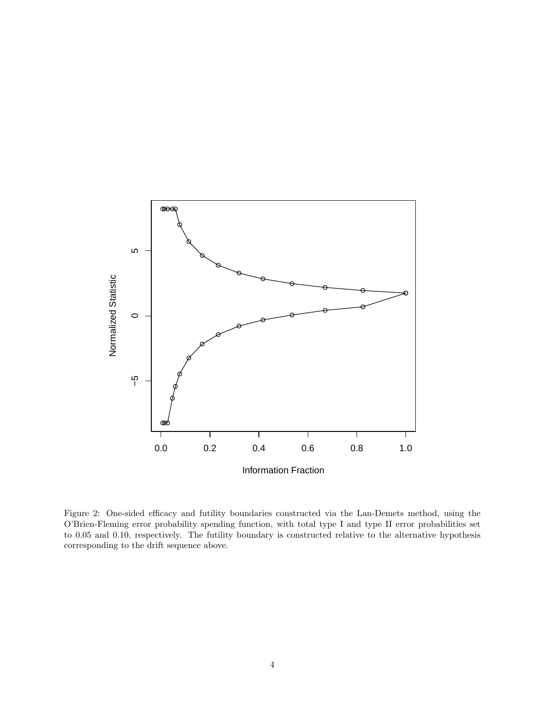

Figure 2: One-sided efficacy and futility boundaries constructed via the Lan-Demets method, using the O'Brien-Fleming error probability spending function, with total type I and type II error probabilities set to 0.05 and 0.10, respectively. The futility boundary is constructed relative to the alternative hypothesis corresponding to the drift sequence above.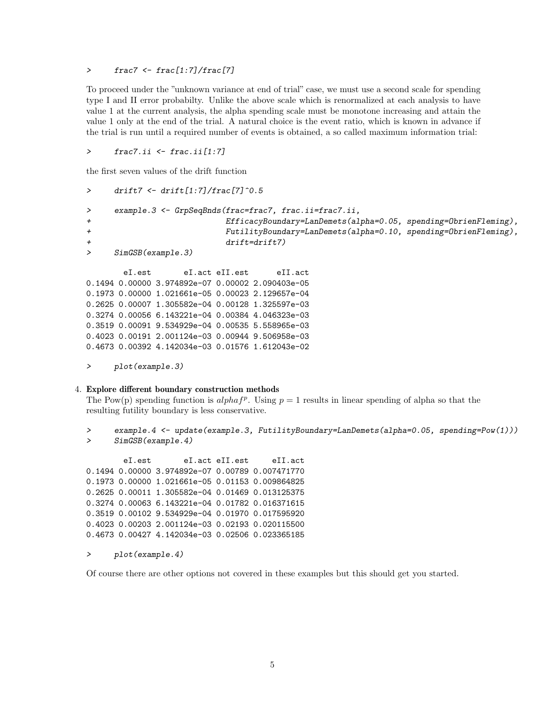> frac7 <- frac[1:7]/frac[7]

To proceed under the "unknown variance at end of trial" case, we must use a second scale for spending type I and II error probabilty. Unlike the above scale which is renormalized at each analysis to have value 1 at the current analysis, the alpha spending scale must be monotone increasing and attain the value 1 only at the end of the trial. A natural choice is the event ratio, which is known in advance if the trial is run until a required number of events is obtained, a so called maximum information trial:

```
> frac7.ii <- frac.ii[1:7]
```
the first seven values of the drift function

```
> drift7 <- drift[1:7]/frac[7]^0.5
> example.3 <- GrpSeqBnds(frac=frac7, frac.ii=frac7.ii,
+ EfficacyBoundary=LanDemets(alpha=0.05, spending=ObrienFleming),
+ FutilityBoundary=LanDemets(alpha=0.10, spending=ObrienFleming),
+ drift=drift7)
> SimGSB(example.3)
       eI.est eI.act eII.est eII.act
0.1494 0.00000 3.974892e-07 0.00002 2.090403e-05
0.1973 0.00000 1.021661e-05 0.00023 2.129657e-04
0.2625 0.00007 1.305582e-04 0.00128 1.325597e-03
0.3274 0.00056 6.143221e-04 0.00384 4.046323e-03
0.3519 0.00091 9.534929e-04 0.00535 5.558965e-03
0.4023 0.00191 2.001124e-03 0.00944 9.506958e-03
0.4673 0.00392 4.142034e-03 0.01576 1.612043e-02
```

```
> plot(example.3)
```
#### 4. Explore different boundary construction methods

The Pow(p) spending function is  $alpha f^p$ . Using  $p = 1$  results in linear spending of alpha so that the resulting futility boundary is less conservative.

> example.4 <- update(example.3, FutilityBoundary=LanDemets(alpha=0.05, spending=Pow(1))) > SimGSB(example.4)

eI.est eI.act eII.est eII.act 0.1494 0.00000 3.974892e-07 0.00789 0.007471770 0.1973 0.00000 1.021661e-05 0.01153 0.009864825 0.2625 0.00011 1.305582e-04 0.01469 0.013125375 0.3274 0.00063 6.143221e-04 0.01782 0.016371615 0.3519 0.00102 9.534929e-04 0.01970 0.017595920 0.4023 0.00203 2.001124e-03 0.02193 0.020115500 0.4673 0.00427 4.142034e-03 0.02506 0.023365185

#### > plot(example.4)

Of course there are other options not covered in these examples but this should get you started.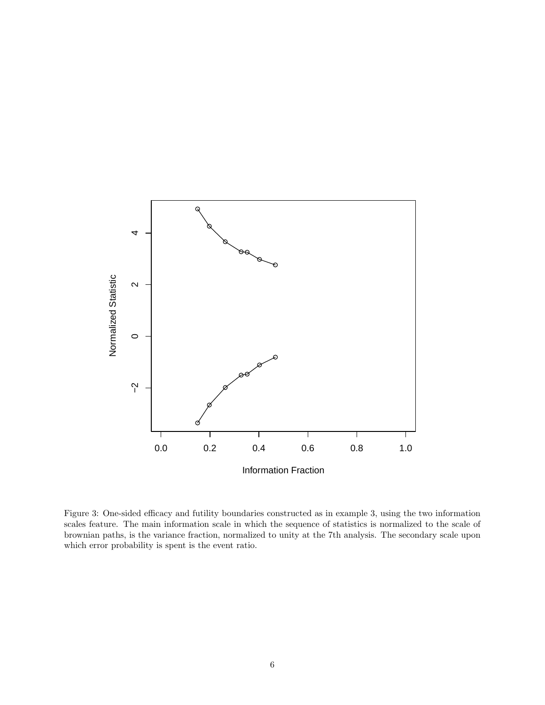

Figure 3: One-sided efficacy and futility boundaries constructed as in example 3, using the two information scales feature. The main information scale in which the sequence of statistics is normalized to the scale of brownian paths, is the variance fraction, normalized to unity at the 7th analysis. The secondary scale upon which error probability is spent is the event ratio.